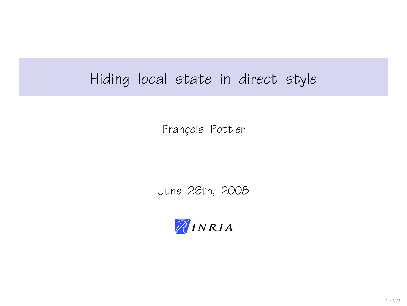## Hiding local state in direct style

François Pottier

June 26th, 2008

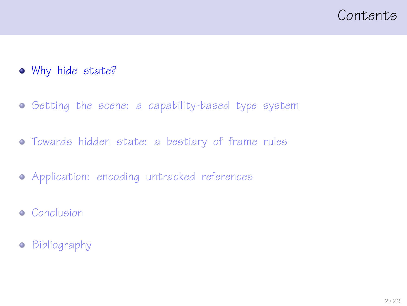#### <span id="page-1-0"></span>Contents

- [Why hide state?](#page-1-0)
- **•** [Setting the scene: a capability-based type system](#page-9-0)
- [Towards hidden state: a bestiary of frame rules](#page-14-0)
- [Application: encoding untracked references](#page-20-0)
- **•** [Conclusion](#page-23-0)
- **•** [Bibliography](#page-25-0)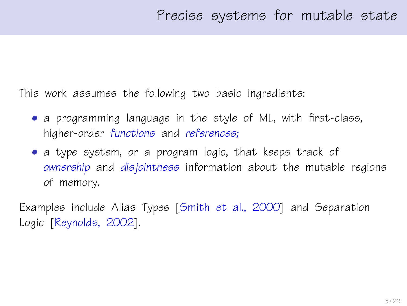This work assumes the following two basic ingredients:

- a programming language in the style of ML, with first-class, higher-order functions and references;
- a type system, or a program logic, that keeps track of ownership and disjointness information about the mutable regions of memory.

Examples include Alias Types [\[Smith et al., 2000\]](#page-28-0) and Separation Logic [\[Reynolds, 2002\]](#page-28-1).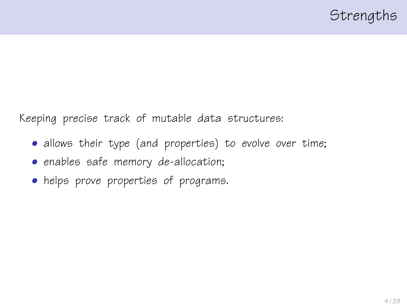Keeping precise track of mutable data structures:

- allows their type (and properties) to evolve over time;
- enables safe memory de-allocation;
- helps prove properties of programs.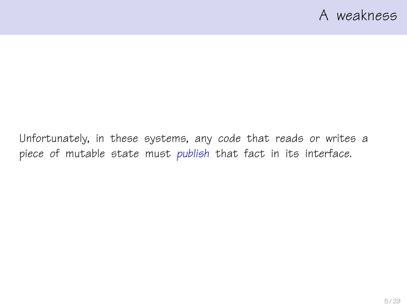Unfortunately, in these systems, any code that reads or writes a piece of mutable state must publish that fact in its interface.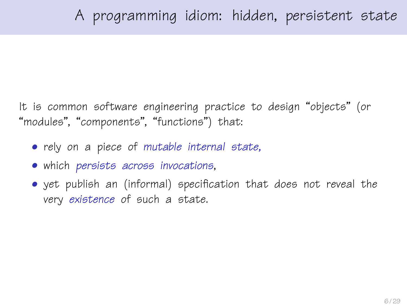It is common software engineering practice to design "objects" (or "modules", "components", "functions") that:

- rely on a piece of mutable internal state,
- which persists across invocations,
- yet publish an (informal) specification that does not reveal the very existence of such a state.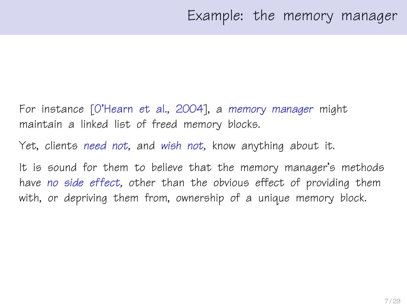- For instance [\[O'Hearn et al., 2004\]](#page-27-0), a memory manager might maintain a linked list of freed memory blocks.
- Yet, clients need not, and wish not, know anything about it.
- It is sound for them to believe that the memory manager's methods have no side effect, other than the obvious effect of providing them with, or depriving them from, ownership of a unique memory block.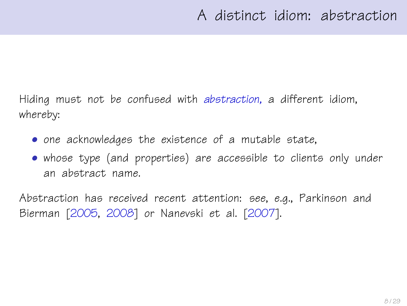Hiding must not be confused with abstraction, a different idiom, whereby:

- one acknowledges the existence of a mutable state,
- whose type (and properties) are accessible to clients only under an abstract name.

Abstraction has received recent attention: see, e.g., Parkinson and Bierman [\[2005,](#page-27-1) [2008\]](#page-28-2) or Nanevski et al. [\[2007\]](#page-27-2).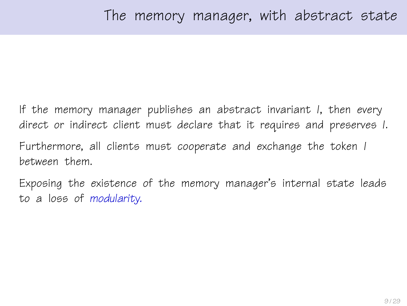If the memory manager publishes an abstract invariant I, then every direct or indirect client must declare that it requires and preserves I. Furthermore, all clients must cooperate and exchange the token I between them.

Exposing the existence of the memory manager's internal state leads to a loss of modularity.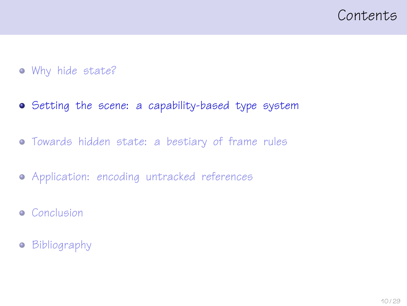#### <span id="page-9-0"></span>Contents

- [Why hide state?](#page-1-0)
- [Setting the scene: a capability-based type system](#page-9-0)
- [Towards hidden state: a bestiary of frame rules](#page-14-0)
- [Application: encoding untracked references](#page-20-0)
- **•** [Conclusion](#page-23-0)
- **•** [Bibliography](#page-25-0)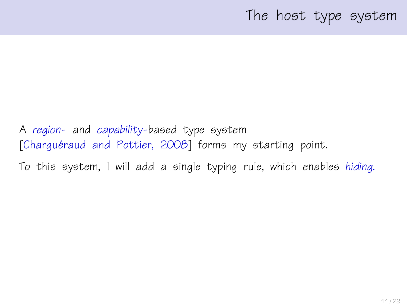#### The host type system

A region- and capability-based type system [Charquéraud and Pottier, 2008] forms my starting point.

To this system, I will add a single typing rule, which enables hiding.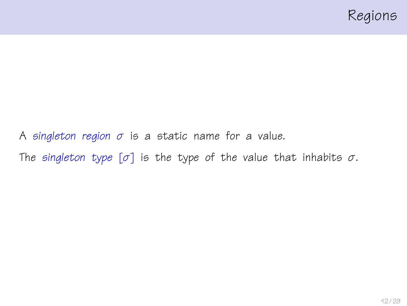

A singleton region  $\sigma$  is a static name for a value. The singleton type  $[\sigma]$  is the type of the value that inhabits  $\sigma$ .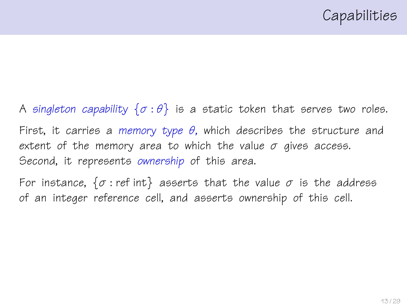A singleton capability  $\{\sigma : \theta\}$  is a static token that serves two roles. First, it carries a memory type  $\theta$ , which describes the structure and extent of the memory area to which the value  $\sigma$  gives access. Second, it represents ownership of this area.

For instance,  $\{\sigma : \text{ref int}\}$  asserts that the value  $\sigma$  is the address of an integer reference cell, and asserts ownership of this cell.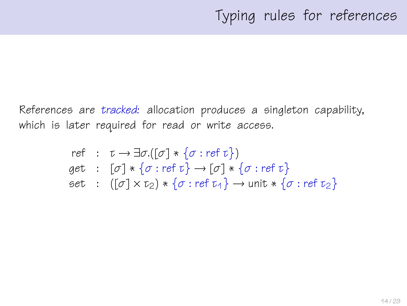References are tracked: allocation produces a singleton capability, which is later required for read or write access.

ref : 
$$
\tau \rightarrow \exists \sigma.([\sigma] * \{\sigma : \text{ref } \tau\})
$$
  
get :  $[\sigma] * \{\sigma : \text{ref } \tau\} \rightarrow [\sigma] * \{\sigma : \text{ref } \tau\}$   
set :  $([\sigma] \times \tau_2) * \{\sigma : \text{ref } \tau_4\} \rightarrow \text{unit} * \{\sigma : \text{ref } \tau_2\}$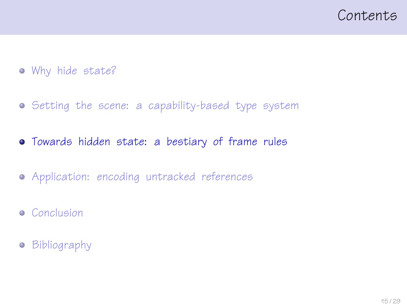<span id="page-14-0"></span>

- [Why hide state?](#page-1-0)
- **•** [Setting the scene: a capability-based type system](#page-9-0)
- [Towards hidden state: a bestiary of frame rules](#page-14-0)
- [Application: encoding untracked references](#page-20-0)
- **•** [Conclusion](#page-23-0)
- **•** [Bibliography](#page-25-0)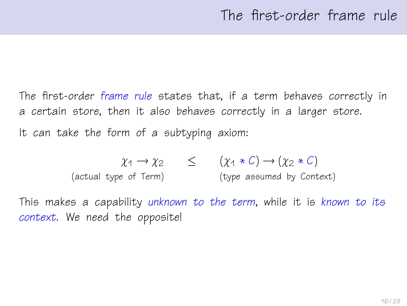The first-order frame rule states that, if a term behaves correctly in a certain store, then it also behaves correctly in a larger store. It can take the form of a subtyping axiom:

$$
\chi_1 \to \chi_2 \qquad \leq \qquad (\chi_1 * C) \to (\chi_2 * C)
$$
  
(actual type of Term) (type assumed by Context)

This makes a capability unknown to the term, while it is known to its context. We need the opposite!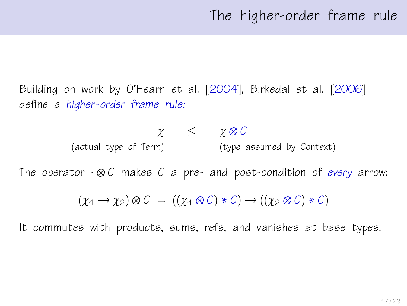Building on work by O'Hearn et al. [\[2004\]](#page-27-0), Birkedal et al. [\[2006\]](#page-26-1) define a higher-order frame rule:

$$
\begin{array}{ccc}\n\chi & \leq & \chi \otimes C \\
\text{(actual type of Term)} & & \text{(type assumed by Context)}\n\end{array}
$$

The operator  $\cdot \otimes C$  makes C a pre- and post-condition of every arrow:

$$
(\chi_1 \to \chi_2) \otimes C = ((\chi_1 \otimes C) * C) \to ((\chi_2 \otimes C) * C)
$$

It commutes with products, sums, refs, and vanishes at base types.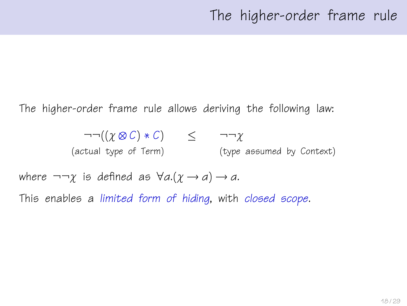The higher-order frame rule allows deriving the following law:

 $\neg\neg((\gamma \otimes C) * C) \leq \neg \neg \gamma$ (actual type of Term) (type assumed by Context)

where  $\neg\neg\gamma$  is defined as  $\forall a.(\gamma \rightarrow a) \rightarrow a$ . This enables a limited form of hiding, with closed scope.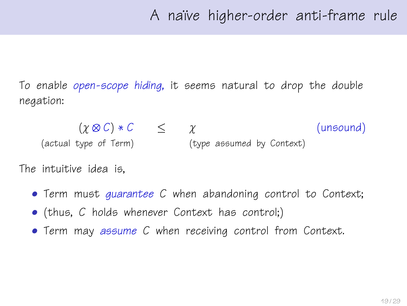To enable open-scope hiding, it seems natural to drop the double negation:

 $(\chi \otimes C) * C \leq \chi$  (unsound) (actual type of Term) (type assumed by Context)

The intuitive idea is,

- Term must guarantee C when abandoning control to Context;
- (thus, C holds whenever Context has control;)
- Term may assume C when receiving control from Context.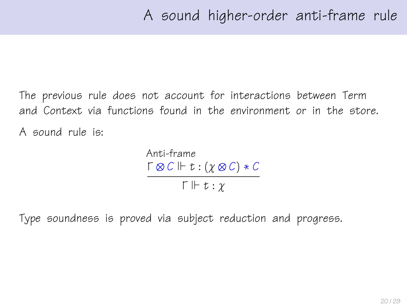The previous rule does not account for interactions between Term and Context via functions found in the environment or in the store. A sound rule is:

> Anti-frame  $\Gamma \otimes C \Vdash t : (\gamma \otimes C) * C$  $\Gamma \Vdash t : \gamma$

Type soundness is proved via subject reduction and progress.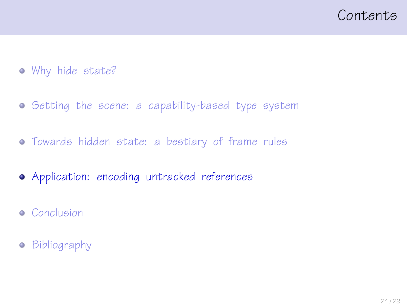#### <span id="page-20-0"></span>Contents

- [Why hide state?](#page-1-0)
- **•** [Setting the scene: a capability-based type system](#page-9-0)
- [Towards hidden state: a bestiary of frame rules](#page-14-0)
- [Application: encoding untracked references](#page-20-0)
- **•** [Conclusion](#page-23-0)
- **•** [Bibliography](#page-25-0)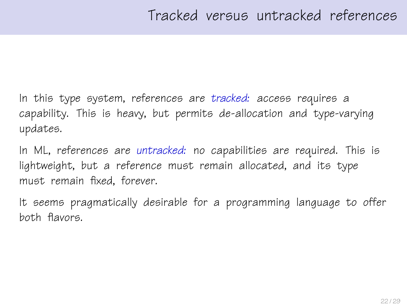In this type system, references are tracked: access requires a capability. This is heavy, but permits de-allocation and type-varying updates.

In ML, references are untracked: no capabilities are required. This is lightweight, but a reference must remain allocated, and its type must remain fixed, forever.

It seems pragmatically desirable for a programming language to offer both flavors.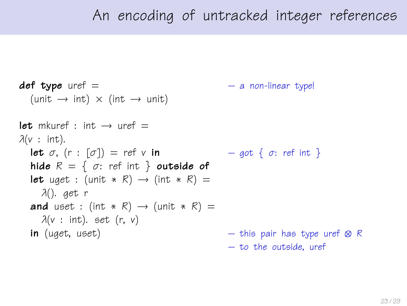## An encoding of untracked integer references

```
def type uref = - a non-linear type!
  (\text{unit} \rightarrow \text{int}) \times (\text{int} \rightarrow \text{unit})let mkuref \cdot int \rightarrow uref =\lambda(v : \text{int}).let \sigma, (r : [\sigma]) = ref v in - q \circ t \{ \sigma : ref \text{ int } \}hide R = \{ \sigma : \text{ref int } \} outside of
  let uget : (unit * R) \rightarrow (int * R) =
    λ(). get r
  and uset : (int * R) \rightarrow (unit * R) =
     \lambda(v : \text{int}). set (r, v)in (uget, uset) – this pair has type uref \otimes R
                                                     – to the outside, uref
```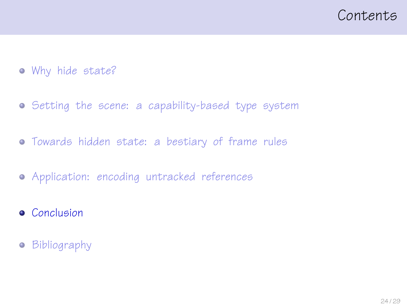#### <span id="page-23-0"></span>Contents

- [Why hide state?](#page-1-0)
- [Setting the scene: a capability-based type system](#page-9-0)
- [Towards hidden state: a bestiary of frame rules](#page-14-0)
- [Application: encoding untracked references](#page-20-0)
- **•** [Conclusion](#page-23-0)
- **•** [Bibliography](#page-25-0)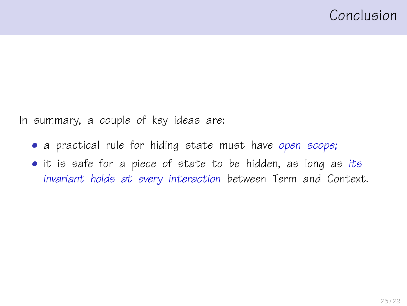In summary, a couple of key ideas are:

- a practical rule for hiding state must have open scope;
- it is safe for a piece of state to be hidden, as long as its invariant holds at every interaction between Term and Context.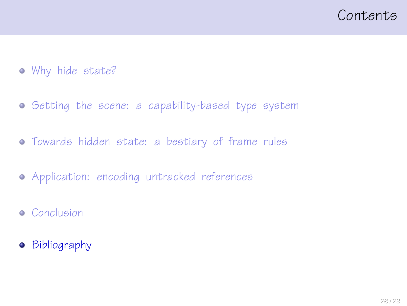#### <span id="page-25-0"></span>Contents

- [Why hide state?](#page-1-0)
- **•** [Setting the scene: a capability-based type system](#page-9-0)
- [Towards hidden state: a bestiary of frame rules](#page-14-0)
- [Application: encoding untracked references](#page-20-0)
- **•** [Conclusion](#page-23-0)
- **•** [Bibliography](#page-25-0)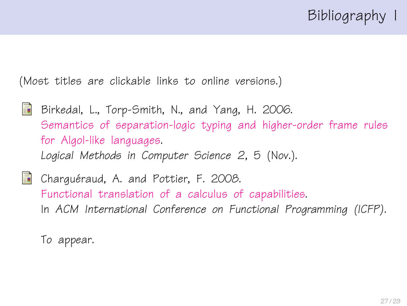(Most titles are clickable links to online versions.)

- <span id="page-26-1"></span>暈 Birkedal, L., Torp-Smith, N., and Yang, H. 2006. [Semantics of separation-logic typing and higher-order frame rules](http://arxiv.org/pdf/cs.LO/0610081) [for Algol-like languages.](http://arxiv.org/pdf/cs.LO/0610081) Logical Methods in Computer Science 2, 5 (Nov.).
- <span id="page-26-0"></span>**Charguéraud, A. and Pottier, F. 2008.** [Functional translation of a calculus of capabilities.](http://cristal.inria.fr/~fpottier/publis/chargueraud-pottier-capabilities.pdf) In ACM International Conference on Functional Programming (ICFP).

To appear.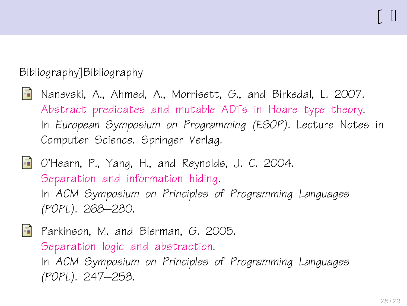#### Bibliography]Bibliography

- <span id="page-27-2"></span>螶 Nanevski, A., Ahmed, A., Morrisett, G., and Birkedal, L. 2007. [Abstract predicates and mutable ADTs in Hoare type theory.](http://www.eecs.harvard.edu/~aleks/papers/hoarelogic/esop07.pdf) In European Symposium on Programming (ESOP). Lecture Notes in Computer Science. Springer Verlag.
- <span id="page-27-0"></span>O'Hearn, P., Yang, H., and Reynolds, J. C. 2004. [Separation and information hiding.](http://www.dcs.qmul.ac.uk/~ohearn/papers/separation-and-hiding.pdf) In ACM Symposium on Principles of Programming Languages (POPL). 268–280.

<span id="page-27-1"></span>F Parkinson, M. and Bierman, G. 2005. [Separation logic and abstraction.](http://www.cl.cam.ac.uk/~mjp41/p205-parkinson.pdf) In ACM Symposium on Principles of Programming Languages (POPL). 247–258.